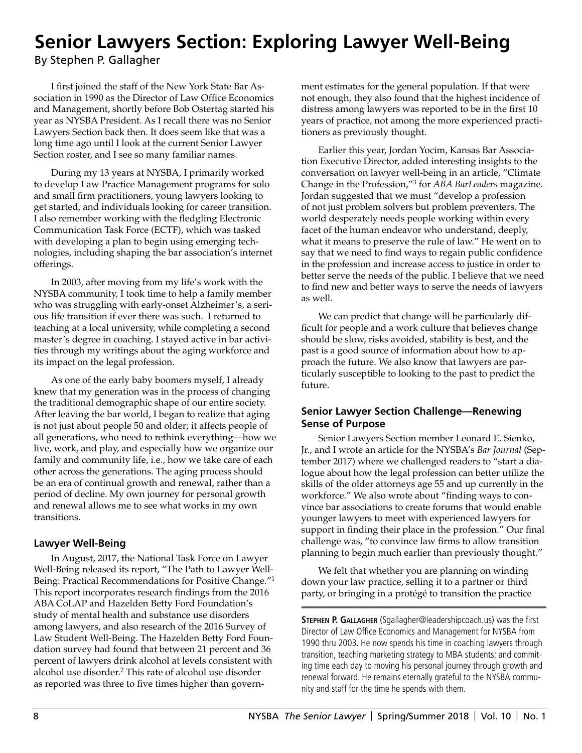# **Senior Lawyers Section: Exploring Lawyer Well-Being**

By Stephen P. Gallagher

I first joined the staff of the New York State Bar Association in 1990 as the Director of Law Office Economics and Management, shortly before Bob Ostertag started his year as NYSBA President. As I recall there was no Senior Lawyers Section back then. It does seem like that was a long time ago until I look at the current Senior Lawyer Section roster, and I see so many familiar names.

During my 13 years at NYSBA, I primarily worked to develop Law Practice Management programs for solo and small firm practitioners, young lawyers looking to get started, and individuals looking for career transition. I also remember working with the fledgling Electronic Communication Task Force (ECTF), which was tasked with developing a plan to begin using emerging technologies, including shaping the bar association's internet offerings.

In 2003, after moving from my life's work with the NYSBA community, I took time to help a family member who was struggling with early-onset Alzheimer's, a serious life transition if ever there was such. I returned to teaching at a local university, while completing a second master's degree in coaching. I stayed active in bar activities through my writings about the aging workforce and its impact on the legal profession.

As one of the early baby boomers myself, I already knew that my generation was in the process of changing the traditional demographic shape of our entire society. After leaving the bar world, I began to realize that aging is not just about people 50 and older; it affects people of all generations, who need to rethink everything—how we live, work, and play, and especially how we organize our family and community life, i.e., how we take care of each other across the generations. The aging process should be an era of continual growth and renewal, rather than a period of decline. My own journey for personal growth and renewal allows me to see what works in my own transitions.

## **Lawyer Well-Being**

In August, 2017, the National Task Force on Lawyer Well-Being released its report, "The Path to Lawyer Well-Being: Practical Recommendations for Positive Change."1 This report incorporates research findings from the 2016 ABA CoLAP and Hazelden Betty Ford Foundation's study of mental health and substance use disorders among lawyers, and also research of the 2016 Survey of Law Student Well-Being. The Hazelden Betty Ford Foundation survey had found that between 21 percent and 36 percent of lawyers drink alcohol at levels consistent with alcohol use disorder.<sup>2</sup> This rate of alcohol use disorder as reported was three to five times higher than government estimates for the general population. If that were not enough, they also found that the highest incidence of distress among lawyers was reported to be in the first 10 years of practice, not among the more experienced practitioners as previously thought.

Earlier this year, Jordan Yocim, Kansas Bar Association Executive Director, added interesting insights to the conversation on lawyer well-being in an article, "Climate Change in the Profession,"3 for *ABA BarLeaders* magazine. Jordan suggested that we must "develop a profession of not just problem solvers but problem preventers. The world desperately needs people working within every facet of the human endeavor who understand, deeply, what it means to preserve the rule of law." He went on to say that we need to find ways to regain public confidence in the profession and increase access to justice in order to better serve the needs of the public. I believe that we need to find new and better ways to serve the needs of lawyers as well.

We can predict that change will be particularly difficult for people and a work culture that believes change should be slow, risks avoided, stability is best, and the past is a good source of information about how to approach the future. We also know that lawyers are particularly susceptible to looking to the past to predict the future.

## **Senior Lawyer Section Challenge—Renewing Sense of Purpose**

Senior Lawyers Section member Leonard E. Sienko, Jr., and I wrote an article for the NYSBA's *Bar Journal* (September 2017) where we challenged readers to "start a dialogue about how the legal profession can better utilize the skills of the older attorneys age 55 and up currently in the workforce." We also wrote about "finding ways to convince bar associations to create forums that would enable younger lawyers to meet with experienced lawyers for support in finding their place in the profession." Our final challenge was, "to convince law firms to allow transition planning to begin much earlier than previously thought."

We felt that whether you are planning on winding down your law practice, selling it to a partner or third party, or bringing in a protégé to transition the practice

**Stephen P. Gallagher** [\(Sgallagher@leadershipcoach.us\)](mailto:Sgallagher@leadershipcoach.us) was the first Director of Law Office Economics and Management for NYSBA from 1990 thru 2003. He now spends his time in coaching lawyers through transition, teaching marketing strategy to MBA students; and commiting time each day to moving his personal journey through growth and renewal forward. He remains eternally grateful to the NYSBA community and staff for the time he spends with them.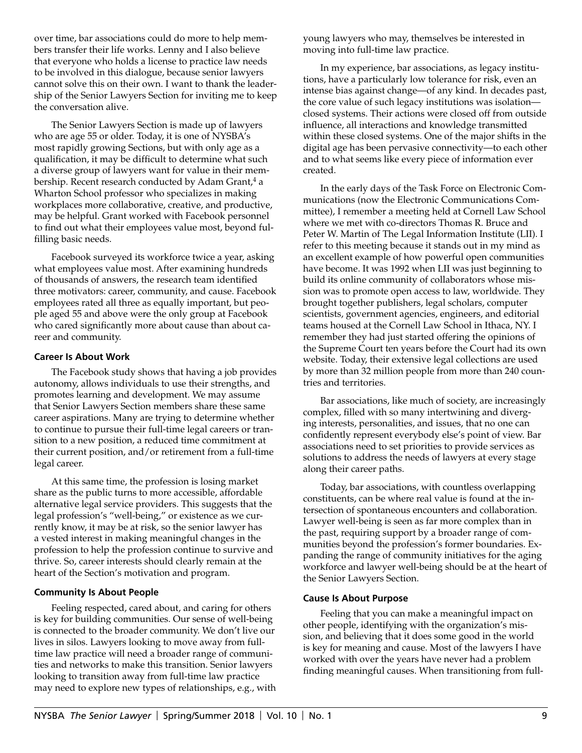over time, bar associations could do more to help members transfer their life works. Lenny and I also believe that everyone who holds a license to practice law needs to be involved in this dialogue, because senior lawyers cannot solve this on their own. I want to thank the leadership of the Senior Lawyers Section for inviting me to keep the conversation alive.

The Senior Lawyers Section is made up of lawyers who are age 55 or older. Today, it is one of NYSBA's most rapidly growing Sections, but with only age as a qualification, it may be difficult to determine what such a diverse group of lawyers want for value in their membership. Recent research conducted by Adam Grant,<sup>4</sup> a Wharton School professor who specializes in making workplaces more collaborative, creative, and productive, may be helpful. Grant worked with Facebook personnel to find out what their employees value most, beyond fulfilling basic needs.

Facebook surveyed its workforce twice a year, asking what employees value most. After examining hundreds of thousands of answers, the research team identified three motivators: career, community, and cause. Facebook employees rated all three as equally important, but people aged 55 and above were the only group at Facebook who cared significantly more about cause than about career and community.

#### **Career Is About Work**

The Facebook study shows that having a job provides autonomy, allows individuals to use their strengths, and promotes learning and development. We may assume that Senior Lawyers Section members share these same career aspirations. Many are trying to determine whether to continue to pursue their full-time legal careers or transition to a new position, a reduced time commitment at their current position, and/or retirement from a full-time legal career.

At this same time, the profession is losing market share as the public turns to more accessible, affordable alternative legal service providers. This suggests that the legal profession's "well-being," or existence as we currently know, it may be at risk, so the senior lawyer has a vested interest in making meaningful changes in the profession to help the profession continue to survive and thrive. So, career interests should clearly remain at the heart of the Section's motivation and program.

### **Community Is About People**

Feeling respected, cared about, and caring for others is key for building communities. Our sense of well-being is connected to the broader community. We don't live our lives in silos. Lawyers looking to move away from fulltime law practice will need a broader range of communities and networks to make this transition. Senior lawyers looking to transition away from full-time law practice may need to explore new types of relationships, e.g., with young lawyers who may, themselves be interested in moving into full-time law practice.

In my experience, bar associations, as legacy institutions, have a particularly low tolerance for risk, even an intense bias against change—of any kind. In decades past, the core value of such legacy institutions was isolation closed systems. Their actions were closed off from outside influence, all interactions and knowledge transmitted within these closed systems. One of the major shifts in the digital age has been pervasive connectivity—to each other and to what seems like every piece of information ever created.

In the early days of the Task Force on Electronic Communications (now the Electronic Communications Committee), I remember a meeting held at Cornell Law School where we met with co-directors Thomas R. Bruce and Peter W. Martin of The Legal Information Institute (LII). I refer to this meeting because it stands out in my mind as an excellent example of how powerful open communities have become. It was 1992 when LII was just beginning to build its online community of collaborators whose mission was to promote open access to law, worldwide. They brought together publishers, legal scholars, computer scientists, government agencies, engineers, and editorial teams housed at the Cornell Law School in Ithaca, NY. I remember they had just started offering the opinions of the Supreme Court ten years before the Court had its own website. Today, their extensive legal collections are used by more than 32 million people from more than 240 countries and territories.

Bar associations, like much of society, are increasingly complex, filled with so many intertwining and diverging interests, personalities, and issues, that no one can confidently represent everybody else's point of view. Bar associations need to set priorities to provide services as solutions to address the needs of lawyers at every stage along their career paths.

Today, bar associations, with countless overlapping constituents, can be where real value is found at the intersection of spontaneous encounters and collaboration. Lawyer well-being is seen as far more complex than in the past, requiring support by a broader range of communities beyond the profession's former boundaries. Expanding the range of community initiatives for the aging workforce and lawyer well-being should be at the heart of the Senior Lawyers Section.

### **Cause Is About Purpose**

Feeling that you can make a meaningful impact on other people, identifying with the organization's mission, and believing that it does some good in the world is key for meaning and cause. Most of the lawyers I have worked with over the years have never had a problem finding meaningful causes. When transitioning from full